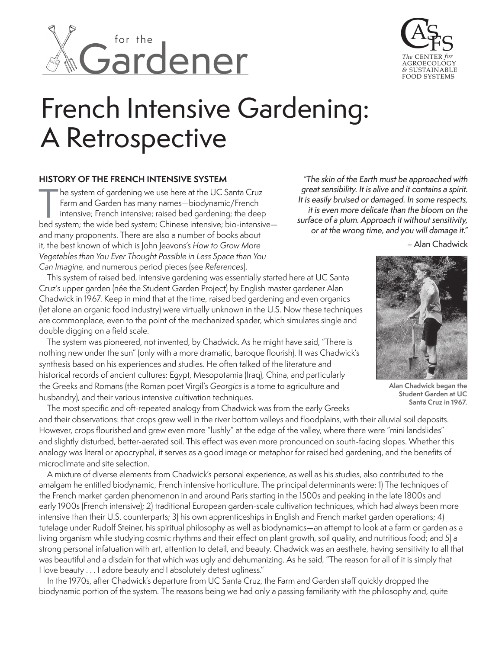



# French Intensive Gardening: A Retrospective

#### **HISTORY OF THE FRENCH INTENSIVE SYSTEM**

 he system of gardening we use here at the UC Santa Cruz Farm and Garden has many names—biodynamic/French intensive; French intensive; raised bed gardening; the deep he system of gardening we use here at the UC Santa Cruz<br>Farm and Garden has many names—biodynamic/French<br>intensive; French intensive; raised bed gardening; the deep<br>bed system; the wide bed system; Chinese intensive; bio-i and many proponents. There are also a number of books about it, the best known of which is John Jeavons's *How to Grow More Vegetables than You Ever Thought Possible in Less Space than You Can Imagine,* and numerous period pieces (see *References*).

"The skin of the Earth must be approached with great sensibility. It is alive and it contains a spirit. It is easily bruised or damaged. In some respects, it is even more delicate than the bloom on the surface of a plum. Approach it without sensitivity, or at the wrong time, and you will damage it."

– Alan Chadwick

This system of raised bed, intensive gardening was essentially started here at UC Santa Cruz's upper garden (née the Student Garden Project) by English master gardener Alan Chadwick in 1967. Keep in mind that at the time, raised bed gardening and even organics (let alone an organic food industry) were virtually unknown in the U.S. Now these techniques are commonplace, even to the point of the mechanized spader, which simulates single and double digging on a field scale.

The system was pioneered, not invented, by Chadwick. As he might have said, "There is nothing new under the sun" (only with a more dramatic, baroque flourish). It was Chadwick's synthesis based on his experiences and studies. He often talked of the literature and historical records of ancient cultures: Egypt, Mesopotamia (Iraq), China, and particularly the Greeks and Romans (the Roman poet Virgil's *Georgics* is a tome to agriculture and husbandry), and their various intensive cultivation techniques.



**Alan Chadwick began the Student Garden at UC Santa Cruz in 1967.**

The most specific and oft-repeated analogy from Chadwick was from the early Greeks and their observations: that crops grew well in the river bottom valleys and floodplains, with their alluvial soil deposits. However, crops flourished and grew even more "lushly" at the edge of the valley, where there were "mini landslides" and slightly disturbed, better-aerated soil. This effect was even more pronounced on south-facing slopes. Whether this analogy was literal or apocryphal, it serves as a good image or metaphor for raised bed gardening, and the benefits of microclimate and site selection.

A mixture of diverse elements from Chadwick's personal experience, as well as his studies, also contributed to the amalgam he entitled biodynamic, French intensive horticulture. The principal determinants were: 1) The techniques of the French market garden phenomenon in and around Paris starting in the 1500s and peaking in the late 1800s and early 1900s (French intensive); 2) traditional European garden-scale cultivation techniques, which had always been more intensive than their U.S. counterparts; 3) his own apprenticeships in English and French market garden operations; 4) tutelage under Rudolf Steiner, his spiritual philosophy as well as biodynamics—an attempt to look at a farm or garden as a living organism while studying cosmic rhythms and their effect on plant growth, soil quality, and nutritious food; and 5) a strong personal infatuation with art, attention to detail, and beauty. Chadwick was an aesthete, having sensitivity to all that was beautiful and a disdain for that which was ugly and dehumanizing. As he said, "The reason for all of it is simply that I love beauty . . . I adore beauty and I absolutely detest ugliness."

In the 1970s, after Chadwick's departure from UC Santa Cruz, the Farm and Garden staff quickly dropped the biodynamic portion of the system. The reasons being we had only a passing familiarity with the philosophy and, quite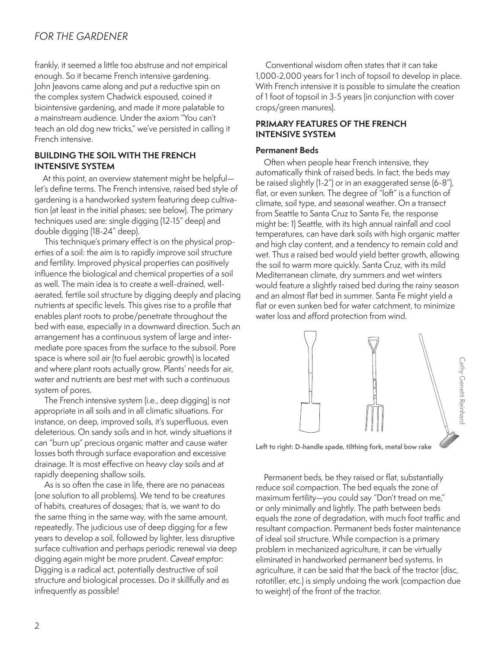# *FOR THE GARDENER*

frankly, it seemed a little too abstruse and not empirical enough. So it became French intensive gardening. John Jeavons came along and put a reductive spin on the complex system Chadwick espoused, coined it biointensive gardening, and made it more palatable to a mainstream audience. Under the axiom "You can't teach an old dog new tricks," we've persisted in calling it French intensive.

#### **BUILDING THE SOIL WITH THE FRENCH INTENSIVE SYSTEM**

At this point, an overview statement might be helpful let's define terms. The French intensive, raised bed style of gardening is a handworked system featuring deep cultivation (at least in the initial phases; see below). The primary techniques used are: single digging (12-15" deep) and double digging (18-24" deep).

This technique's primary effect is on the physical properties of a soil: the aim is to rapidly improve soil structure and fertility. Improved physical properties can positively influence the biological and chemical properties of a soil as well. The main idea is to create a well-drained, wellaerated, fertile soil structure by digging deeply and placing nutrients at specific levels. This gives rise to a profile that enables plant roots to probe/penetrate throughout the bed with ease, especially in a downward direction. Such an arrangement has a continuous system of large and intermediate pore spaces from the surface to the subsoil. Pore space is where soil air (to fuel aerobic growth) is located and where plant roots actually grow. Plants' needs for air, water and nutrients are best met with such a continuous system of pores.

The French intensive system (i.e., deep digging) is not appropriate in all soils and in all climatic situations. For instance, on deep, improved soils, it's superfluous, even deleterious. On sandy soils and in hot, windy situations it can "burn up" precious organic matter and cause water losses both through surface evaporation and excessive drainage. It is most effective on heavy clay soils and at rapidly deepening shallow soils.

As is so often the case in life, there are no panaceas (one solution to all problems). We tend to be creatures of habits, creatures of dosages; that is, we want to do the same thing in the same way, with the same amount, repeatedly. The judicious use of deep digging for a few years to develop a soil, followed by lighter, less disruptive surface cultivation and perhaps periodic renewal via deep digging again might be more prudent. *Caveat emptor:*  Digging is a radical act, potentially destructive of soil structure and biological processes. Do it skillfully and as infrequently as possible!

Conventional wisdom often states that it can take 1,000-2,000 years for 1 inch of topsoil to develop in place. With French intensive it is possible to simulate the creation of 1 foot of topsoil in 3-5 years (in conjunction with cover crops/green manures).

# **PRIMARY FEATURES OF THE FRENCH INTENSIVE SYSTEM**

#### **Permanent Beds**

Often when people hear French intensive, they automatically think of raised beds. In fact, the beds may be raised slightly (1-2") or in an exaggerated sense (6-8"), flat, or even sunken. The degree of "loft" is a function of climate, soil type, and seasonal weather. On a transect from Seattle to Santa Cruz to Santa Fe, the response might be: 1) Seattle, with its high annual rainfall and cool temperatures, can have dark soils with high organic matter and high clay content, and a tendency to remain cold and wet. Thus a raised bed would yield better growth, allowing the soil to warm more quickly. Santa Cruz, with its mild Mediterranean climate, dry summers and wet winters would feature a slightly raised bed during the rainy season and an almost flat bed in summer. Santa Fe might yield a flat or even sunken bed for water catchment, to minimize water loss and afford protection from wind.



**Left to right: D-handle spade, tilthing fork, metal bow rake**

Permanent beds, be they raised or flat, substantially reduce soil compaction. The bed equals the zone of maximum fertility—you could say "Don't tread on me," or only minimally and lightly. The path between beds equals the zone of degradation, with much foot traffic and resultant compaction. Permanent beds foster maintenance of ideal soil structure. While compaction is a primary problem in mechanized agriculture, it can be virtually eliminated in handworked permanent bed systems. In agriculture, it can be said that the back of the tractor (disc, rototiller, etc.) is simply undoing the work (compaction due to weight) of the front of the tractor.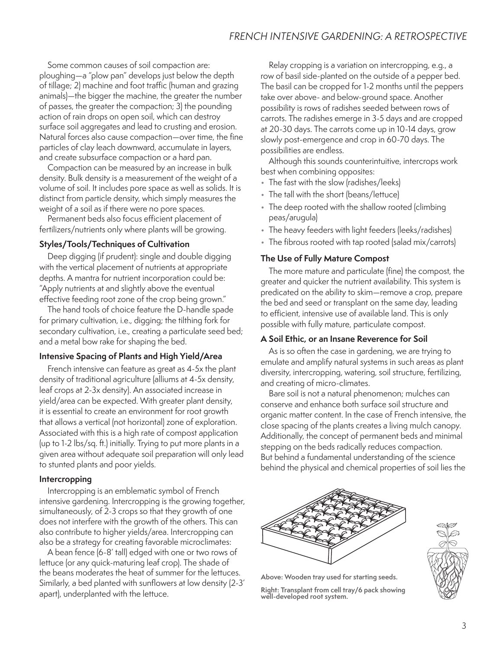Some common causes of soil compaction are: ploughing—a "plow pan" develops just below the depth of tillage; 2) machine and foot traffic (human and grazing animals)—the bigger the machine, the greater the number of passes, the greater the compaction; 3) the pounding action of rain drops on open soil, which can destroy surface soil aggregates and lead to crusting and erosion. Natural forces also cause compaction—over time, the fine particles of clay leach downward, accumulate in layers, and create subsurface compaction or a hard pan.

Compaction can be measured by an increase in bulk density. Bulk density is a measurement of the weight of a volume of soil. It includes pore space as well as solids. It is distinct from particle density, which simply measures the weight of a soil as if there were no pore spaces.

Permanent beds also focus efficient placement of fertilizers/nutrients only where plants will be growing.

## **Styles/Tools/Techniques of Cultivation**

Deep digging (if prudent): single and double digging with the vertical placement of nutrients at appropriate depths. A mantra for nutrient incorporation could be: "Apply nutrients at and slightly above the eventual effective feeding root zone of the crop being grown."

The hand tools of choice feature the D-handle spade for primary cultivation, i.e., digging; the tilthing fork for secondary cultivation, i.e., creating a particulate seed bed; and a metal bow rake for shaping the bed.

#### **Intensive Spacing of Plants and High Yield/Area**

French intensive can feature as great as 4-5x the plant density of traditional agriculture (alliums at 4-5x density, leaf crops at 2-3x density). An associated increase in yield/area can be expected. With greater plant density, it is essential to create an environment for root growth that allows a vertical (not horizontal) zone of exploration. Associated with this is a high rate of compost application (up to 1-2 lbs/sq. ft.) initially. Trying to put more plants in a given area without adequate soil preparation will only lead to stunted plants and poor yields.

#### **Intercropping**

Intercropping is an emblematic symbol of French intensive gardening. Intercropping is the growing together, simultaneously, of 2-3 crops so that they growth of one does not interfere with the growth of the others. This can also contribute to higher yields/area. Intercropping can also be a strategy for creating favorable microclimates:

A bean fence (6-8' tall) edged with one or two rows of lettuce (or any quick-maturing leaf crop). The shade of the beans moderates the heat of summer for the lettuces. Similarly, a bed planted with sunflowers at low density (2-3' apart), underplanted with the lettuce.

Relay cropping is a variation on intercropping, e.g., a row of basil side-planted on the outside of a pepper bed. The basil can be cropped for 1-2 months until the peppers take over above- and below-ground space. Another possibility is rows of radishes seeded between rows of carrots. The radishes emerge in 3-5 days and are cropped at 20-30 days. The carrots come up in 10-14 days, grow slowly post-emergence and crop in 60-70 days. The possibilities are endless.

Although this sounds counterintuitive, intercrops work best when combining opposites:

- The fast with the slow (radishes/leeks)
- The tall with the short (beans/lettuce)
- The deep rooted with the shallow rooted (climbing peas/arugula)
- The heavy feeders with light feeders (leeks/radishes)
- The fibrous rooted with tap rooted (salad mix/carrots)

# **The Use of Fully Mature Compost**

The more mature and particulate (fine) the compost, the greater and quicker the nutrient availability. This system is predicated on the ability to skim—remove a crop, prepare the bed and seed or transplant on the same day, leading to efficient, intensive use of available land. This is only possible with fully mature, particulate compost.

#### **A Soil Ethic, or an Insane Reverence for Soil**

As is so often the case in gardening, we are trying to emulate and amplify natural systems in such areas as plant diversity, intercropping, watering, soil structure, fertilizing, and creating of micro-climates.

Bare soil is not a natural phenomenon; mulches can conserve and enhance both surface soil structure and organic matter content. In the case of French intensive, the close spacing of the plants creates a living mulch canopy. Additionally, the concept of permanent beds and minimal stepping on the beds radically reduces compaction. But behind a fundamental understanding of the science behind the physical and chemical properties of soil lies the





**Above: Wooden tray used for starting seeds.**

**Right: Transplant from cell tray/6 pack showing well-developed root system.**